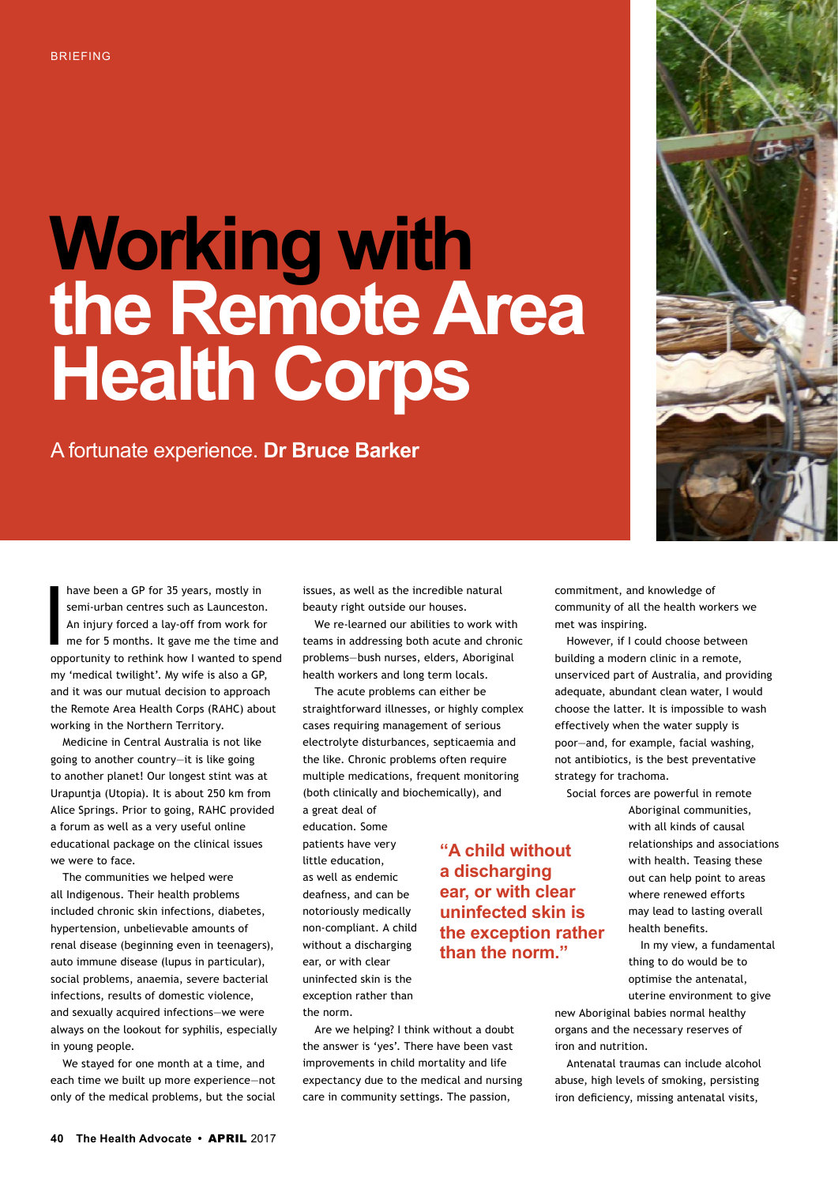## **Working with the Remote Area Health Corps**

A fortunate experience. **Dr Bruce Barker**



have been a GP for 35 years, mostly in<br>semi-urban centres such as Launceston<br>An injury forced a lay-off from work for<br>me for 5 months. It gave me the time a<br>opportunity to rethink how I wanted to sp semi-urban centres such as Launceston. An injury forced a lay-off from work for me for 5 months. It gave me the time and opportunity to rethink how I wanted to spend my 'medical twilight'. My wife is also a GP, and it was our mutual decision to approach the Remote Area Health Corps (RAHC) about working in the Northern Territory.

Medicine in Central Australia is not like going to another country—it is like going to another planet! Our longest stint was at Urapuntja (Utopia). It is about 250 km from Alice Springs. Prior to going, RAHC provided a forum as well as a very useful online educational package on the clinical issues we were to face.

The communities we helped were all Indigenous. Their health problems included chronic skin infections, diabetes, hypertension, unbelievable amounts of renal disease (beginning even in teenagers), auto immune disease (lupus in particular), social problems, anaemia, severe bacterial infections, results of domestic violence, and sexually acquired infections—we were always on the lookout for syphilis, especially in young people.

We stayed for one month at a time, and each time we built up more experience—not only of the medical problems, but the social issues, as well as the incredible natural beauty right outside our houses.

We re-learned our abilities to work with teams in addressing both acute and chronic problems—bush nurses, elders, Aboriginal health workers and long term locals.

The acute problems can either be straightforward illnesses, or highly complex cases requiring management of serious electrolyte disturbances, septicaemia and the like. Chronic problems often require multiple medications, frequent monitoring (both clinically and biochemically), and

> **"A child without a discharging ear, or with clear uninfected skin is the exception rather than the norm."**

a great deal of education. Some patients have very little education, as well as endemic deafness, and can be notoriously medically non-compliant. A child without a discharging ear, or with clear uninfected skin is the exception rather than the norm.

Are we helping? I think without a doubt the answer is 'yes'. There have been vast improvements in child mortality and life expectancy due to the medical and nursing care in community settings. The passion,

community of all the health workers we met was inspiring. However, if I could choose between

commitment, and knowledge of

building a modern clinic in a remote, unserviced part of Australia, and providing adequate, abundant clean water, I would choose the latter. It is impossible to wash effectively when the water supply is poor—and, for example, facial washing, not antibiotics, is the best preventative strategy for trachoma.

Social forces are powerful in remote

Aboriginal communities, with all kinds of causal relationships and associations with health. Teasing these out can help point to areas where renewed efforts may lead to lasting overall health benefits.

In my view, a fundamental thing to do would be to optimise the antenatal, uterine environment to give

new Aboriginal babies normal healthy organs and the necessary reserves of iron and nutrition.

Antenatal traumas can include alcohol abuse, high levels of smoking, persisting iron deficiency, missing antenatal visits,